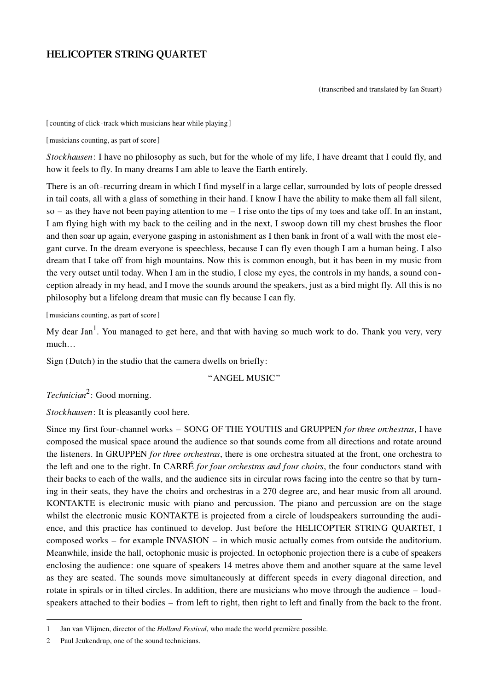# **HELICOPTER STRING QUARTET**

(transcribed and translated by Ian Stuart)

[counting of click-track which musicians hear while playing]

[musicians counting, as part of score]

*Stock hausen*: I have no philosophy as such, but for the whole of my life, I have dreamt that I could fly, and how it feels to fly. In many dreams I am able to leave the Earth entirely.

There is an oft-recurring dream in which I find myself in a large cellar, surrounded by lots of people dressed in tail coats, all with a glass of something in their hand. I know I have the ability to make them all fall silent, so – as they have not been paying attention to me – I rise onto the tips of my toes and take off. In an instant, I am flying high with my back to the ceiling and in the next, I swoop down till my chest brushes the floor and then soar up again, every one gasping in aston ishment as I then bank in front of a wall with the most elegant curve. In the dream everyone is speechless, because I can fly even though I am a human being. I also dream that I take off from high mountains. Now this is common enough, but it has been in my music from the very outset until today. When I am in the studio, I close my eyes, the controls in my hands, a sound conception already in my head, and I move the sounds around the speakers, just as a bird might fly. All this is no philosophy but a lifelong dream that music can fly because I can fly.

[musicians counting, as part of score]

My dear Jan<sup>1</sup>. You managed to get here, and that with having so much work to do. Thank you very, very much…

Sign (Dutch) in the studio that the camera dwells on briefly:

"ANGEL MUSIC"

*Technician*<sup>2</sup>: Good morning.

*Stockhausen*: It is pleasantly cool here.

Since my first four-channel works – SONG OF THE YOUTHS and GRUPPEN *for three orchestras*, I have composed the musical space around the audience so that sounds come from all directions and rotate around the listeners. In GRUPPEN *for three orchestras*, there is one orchestra situated at the front, one orchestra to the left and one to the right. In CARRÉ *for four orchestras and four choirs*, the four conductors stand with their backs to each of the walls, and the audience sits in circular rows facing into the centre so that by turning in their seats, they have the choirs and orchestras in a 270 degree arc, and hear music from all around. KONTAKTE is electronic music with piano and percussion. The piano and percussion are on the stage whilst the electronic music KONTAKTE is projected from a circle of loudspeakers surrounding the audience, and this practice has continued to develop. Just before the HELICOPTER STRING QUARTET, I composed works – for example INVASION – in which music actually comes from outside the auditorium. Meanwhile, inside the hall, octophonic music is projected. In octophonic projection there is a cube of speakers enclosing the audience: one square of speakers 14 metres above them and another square at the same level as they are seated. The sounds move simultaneously at different speeds in every diagonal direction, and rotate in spirals or in tilted circles. In addition, there are musicians who move through the audience – loudspeakers attached to their bodies – from left to right, then right to left and finally from the back to the front.

<sup>1</sup> Jan van Vlijmen, director of the *Holland Festival*, who made the world première possible.

<sup>2</sup> Paul Jeukendrup, one of the sound technicians.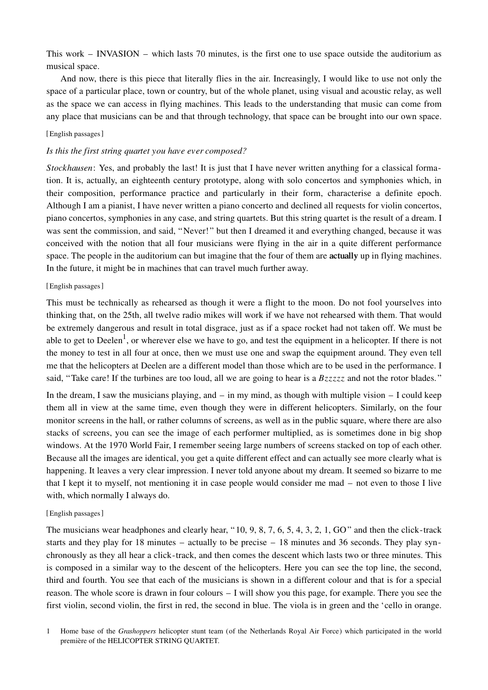This work – INVASION – which lasts 70 minutes, is the first one to use space outside the auditorium as musical space.

And now, there is this piece that literally flies in the air. Increasingly, I would like to use not only the space of a particular place, town or country, but of the whole planet, using visual and acoustic relay, as well as the space we can access in flying machines. This leads to the understanding that music can come from any place that musicians can be and that through technology, that space can be brought into our own space.

# [English passages]

## *Is this the first string quartet you have ever composed?*

*Stock hausen*: Yes, and probably the last! It is just that I have never written anything for a classical formation. It is, actually, an eighteenth century prototype, along with solo concertos and symphonies which, in their composition, performance practice and particularly in their form, characterise a definite epoch. Although I am a pianist, I have never written a piano concerto and declined all requests for violin concertos, piano concertos, symphonies in any case, and string quartets. But this string quartet is the result of a dream. I was sent the commission, and said, "Never!" but then I dreamed it and every thing changed, because it was conceived with the notion that all four musicians were flying in the air in a quite different performance space. The people in the auditorium can but imagine that the four of them are **actually** up in flying machines. In the future, it might be in machines that can travel much further away.

# [English passages]

This must be technically as rehearsed as though it were a flight to the moon. Do not fool yourselves into thinking that, on the 25th, all twelve radio mikes will work if we have not rehearsed with them. That would be extremely dangerous and result in total disgrace, just as if a space rocket had not taken off. We must be able to get to Deelen<sup>1</sup>, or wherever else we have to go, and test the equipment in a helicopter. If there is not the money to test in all four at once, then we must use one and swap the equipment around. They even tell me that the helicopters at Deelen are a different model than those which are to be used in the performance. I said, "Take care! If the turbines are too loud, all we are going to hear is a *Bzzzzz* and not the rotor blades."

In the dream, I saw the musicians playing, and  $-$  in my mind, as though with multiple vision  $-$  I could keep them all in view at the same time, even though they were in different helicopters. Similarly, on the four monitor screens in the hall, or rather columns of screens, as well as in the public square, where there are also stacks of screens, you can see the image of each performer multiplied, as is sometimes done in big shop windows. At the 1970 World Fair, I remember seeing large numbers of screens stacked on top of each other. Because all the images are identical, you get a quite different effect and can actually see more clearly what is happening. It leaves a very clear impression. I never told anyone about my dream. It seemed so bizarre to me that I kept it to myself, not mentioning it in case people would consider me mad  $-$  not even to those I live with, which normally I always do.

## [English passages]

The musicians wear headphones and clearly hear, " $10, 9, 8, 7, 6, 5, 4, 3, 2, 1, GO$ " and then the click-track starts and they play for 18 minutes – actually to be precise – 18 minutes and 36 seconds. They play synchronously as they all hear a click-track, and then comes the descent which lasts two or three minutes. This is composed in a similar way to the descent of the helicopters. Here you can see the top line, the second, third and fourth. You see that each of the musicians is shown in a different colour and that is for a special reason. The whole score is drawn in four colours  $-1$  will show you this page, for example. There you see the first violin, second violin, the first in red, the second in blue. The viola is in green and the 'cello in orange.

1 Home base of the *Grashoppers* helicopter stunt team (of the Netherlands Royal Air Force) which participated in the world première of the HELICOPTER STRING QUARTET.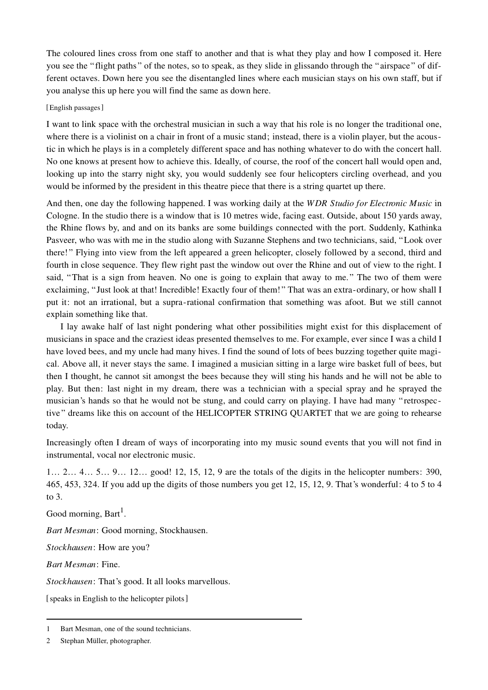The coloured lines cross from one staff to another and that is what they play and how I composed it. Here you see the "flight paths" of the notes, so to speak, as they slide in glissando through the "airspace" of different octaves. Down here you see the disentangled lines where each musician stays on his own staff, but if you analyse this up here you will find the same as down here.

# [English passages]

I want to link space with the orchestral musician in such a way that his role is no longer the traditional one, where there is a violinist on a chair in front of a music stand; instead, there is a violin player, but the acoustic in which he plays is in a completely different space and has nothing whatever to do with the concert hall. No one knows at present how to achieve this. Ideally, of course, the roof of the concert hall would open and, looking up into the starry night sky, you would suddenly see four helicopters circling overhead, and you would be informed by the president in this theatre piece that there is a string quartet up there.

And then, one day the following happened. I was working daily at the *WDR Studio for Electronic Music* in Cologne. In the studio there is a window that is 10 metres wide, facing east. Outside, about 150 yards away, the Rhine flows by, and and on its banks are some buildings connected with the port. Suddenly, Kathinka Pas veer, who was with me in the studio along with Suzanne Stephens and two technicians, said, "Look over there!" Flying into view from the left appeared a green helicopter, closely followed by a second, third and fourth in close sequence. They flew right past the window out over the Rhine and out of view to the right. I said, "That is a sign from heaven. No one is going to explain that away to me." The two of them were exclaiming, "Just look at that! Incredible! Exactly four of them!" That was an extra-ordinary, or how shall I put it: not an irrational, but a supra-rational confirmation that something was afoot. But we still cannot explain something like that.

I lay awake half of last night pondering what other possibilities might exist for this displacement of musicians in space and the craziest ideas presented themselves to me. For example, ever since I was a child I have loved bees, and my uncle had many hives. I find the sound of lots of bees buzzing together quite magical. Above all, it never stays the same. I imagined a musician sitting in a large wire basket full of bees, but then I thought, he cannot sit amongst the bees because they will sting his hands and he will not be able to play. But then: last night in my dream, there was a technician with a special spray and he sprayed the musician's hands so that he would not be stung, and could carry on playing. I have had many "retrospective" dreams like this on account of the HELICOPTER STRING QUARTET that we are going to rehearse today.

Increasingly often I dream of ways of incorporating into my music sound events that you will not find in instrumental, vocal nor electronic music.

 $1... 2... 4... 5... 9... 12...$  good! 12, 15, 12, 9 are the totals of the digits in the helicopter numbers: 390, 465, 453, 324. If you add up the digits of those numbers you get 12, 15, 12, 9. That's wonderful: 4 to 5 to 4 to 3.

Good morning, Bart<sup>1</sup>.

*Bart Mesman*: Good morning, Stockhausen.

*Stock hau sen*: How are you?

*Bart Mesman*: Fine.

*Stockhausen*: That's good. It all looks marvellous.

[ speaks in English to the helicopter pilots]

<sup>1</sup> Bart Mesman, one of the sound technicians.

<sup>2</sup> Stephan Müller, photographer.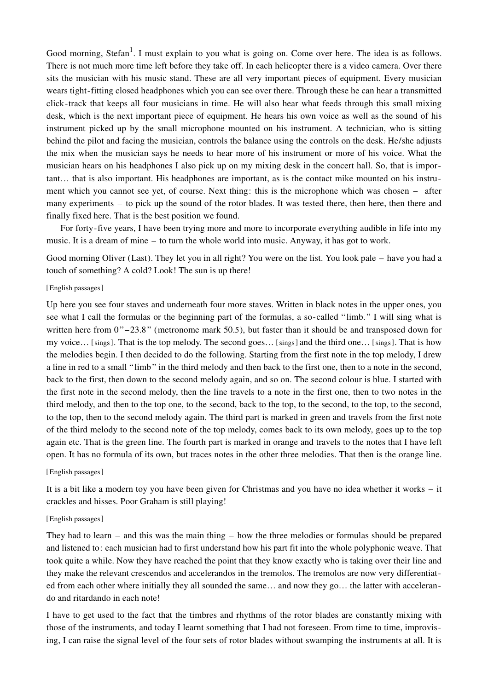Good morning, Stefan<sup>1</sup>. I must explain to you what is going on. Come over here. The idea is as follows. There is not much more time left before they take off. In each helicopter there is a video camera. Over there sits the musician with his music stand. These are all very important pieces of equipment. Every musician wears tight-fitting closed headphones which you can see over there. Through these he can hear a transmitted click-track that keeps all four musicians in time. He will also hear what feeds through this small mixing desk, which is the next important piece of equipment. He hears his own voice as well as the sound of his instrument picked up by the small microphone mounted on his instrument. A technician, who is sitting behind the pilot and facing the musician, controls the balance using the controls on the desk. He/she adjusts the mix when the musician says he needs to hear more of his instrument or more of his voice. What the musician hears on his headphones I also pick up on my mixing desk in the concert hall. So, that is important... that is also important. His headphones are important, as is the contact mike mounted on his instrument which you cannot see yet, of course. Next thing: this is the microphone which was chosen – after many experiments – to pick up the sound of the rotor blades. It was tested there, then here, then there and finally fixed here. That is the best position we found.

For forty-five years, I have been trying more and more to incorporate every thing audible in life into my music. It is a dream of mine – to turn the whole world into music. Any way, it has got to work.

Good morning Oliver (Last). They let you in all right? You were on the list. You look pale – have you had a touch of something? A cold? Look! The sun is up there!

#### [English passages]

Up here you see four staves and underneath four more staves. Written in black notes in the upper ones, you see what I call the formulas or the beginning part of the formulas, a so-called "limb." I will sing what is written here from  $0"$ –23.8" (metronome mark 50.5), but faster than it should be and transposed down for my voice... [sings]. That is the top melody. The second goes... [sings] and the third one... [sings]. That is how the melodies begin. I then decided to do the following. Starting from the first note in the top melody, I drew a line in red to a small "limb" in the third melody and then back to the first one, then to a note in the second, back to the first, then down to the second melody again, and so on. The second colour is blue. I started with the first note in the second melody, then the line travels to a note in the first one, then to two notes in the third melody, and then to the top one, to the second, back to the top, to the second, to the top, to the second, to the top, then to the second melody again. The third part is marked in green and travels from the first note of the third melody to the second note of the top melody, comes back to its own melody, goes up to the top again etc. That is the green line. The fourth part is marked in orange and travels to the notes that I have left open. It has no formula of its own, but traces notes in the other three melodies. That then is the orange line.

## [English passages]

It is a bit like a modern toy you have been given for Christmas and you have no idea whether it works – it crackles and hisses. Poor Graham is still playing!

#### [English passages]

They had to learn – and this was the main thing – how the three melodies or formulas should be prepared and listened to: each musician had to first understand how his part fit into the whole polyphonic weave. That took quite a while. Now they have reached the point that they know exactly who is taking over their line and they make the relevant crescendos and accelerandos in the tremolos. The tremolos are now very differentiated from each other where initially they all sounded the same... and now they go... the latter with accelerando and ritardando in each note!

I have to get used to the fact that the timbres and rhythms of the rotor blades are constantly mixing with those of the instruments, and today I learnt something that I had not fore seen. From time to time, improvising, I can raise the signal level of the four sets of rotor blades without swamping the instruments at all. It is